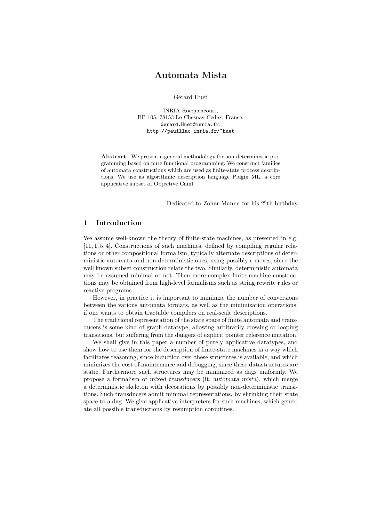# Automata Mista

Gérard Huet

INRIA Rocquencourt, BP 105, 78153 Le Chesnay Cedex, France, Gerard.Huet@inria.fr, http://pauillac.inria.fr/~huet

Abstract. We present a general methodology for non-deterministic programming based on pure functional programming. We construct families of automata constructions which are used as finite-state process descriptions. We use as algorithmic description language Pidgin ML, a core applicative subset of Objective Caml.

Dedicated to Zohar Manna for his 2<sup>6</sup>th birthday

## 1 Introduction

We assume well-known the theory of finite-state machines, as presented in e.g. [11, 1, 5, 4]. Constructions of such machines, defined by compiling regular relations or other compositional formalism, typically alternate descriptions of deterministic automata and non-deterministic ones, using possibly  $\epsilon$  moves, since the well known subset construction relate the two. Similarly, deterministic automata may be assumed minimal or not. Then more complex finite machine constructions may be obtained from high-level formalisms such as string rewrite rules or reactive programs.

However, in practice it is important to minimize the number of conversions between the various automata formats, as well as the minimization operations, if one wants to obtain tractable compilers on real-scale descriptions.

The traditional representation of the state space of finite automata and transducers is some kind of graph datatype, allowing arbitrarily crossing or looping transitions, but suffering from the dangers of explicit pointer reference mutation.

We shall give in this paper a number of purely applicative datatypes, and show how to use them for the description of finite-state machines in a way which facilitates reasoning, since induction over these structures is available, and which minimizes the cost of maintenance and debugging, since these datastructures are static. Furthermore such structures may be minimized as dags uniformly. We propose a formalism of mixed transducers (it. automata mista), which merge a deterministic skeleton with decorations by possibly non-deterministic transitions. Such transducers admit minimal representations, by shrinking their state space to a dag. We give applicative interpreters for such machines, which generate all possible transductions by resumption coroutines.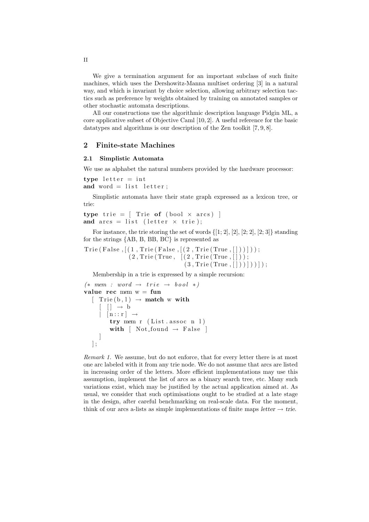We give a termination argument for an important subclass of such finite machines, which uses the Dershowitz-Manna multiset ordering [3] in a natural way, and which is invariant by choice selection, allowing arbitrary selection tactics such as preference by weights obtained by training on annotated samples or other stochastic automata descriptions.

All our constructions use the algorithmic description language Pidgin ML, a core applicative subset of Objective Caml [10, 2]. A useful reference for the basic datatypes and algorithms is our description of the Zen toolkit [7, 9, 8].

## 2 Finite-state Machines

### 2.1 Simplistic Automata

We use as alphabet the natural numbers provided by the hardware processor:

type  $letter = int$ and word  $=$  list letter;

Simplistic automata have their state graph expressed as a lexicon tree, or trie:

type trie =  $[$  Trie of  $($ bool  $\times$  arcs)  $]$ and  $\arcs = \text{list}$  (letter  $\times$  trie);

For instance, the trie storing the set of words  $\{[1; 2], [2], [2; 2], [2; 3]\}$  standing for the strings {AB, B, BB, BC} is represented as

 $Trie(False, [(1, Trie(False, [(2, Trie(True, [])))]));$  $(2,$  Trie (True,  $(2,$  Trie (True,  $|)$ );  $(3, \text{True} (\text{True} , [\,]) )) )$  ) ) ) ;

Membership in a trie is expressed by a simple recursion:

```
(* \, mem \, : \, word \rightarrow \, trie \rightarrow bool \, * )value rec mem w = fun
   \lceil Trie (b, 1) \rightarrow match w with
       \begin{bmatrix} \end{bmatrix} \rightarrow b\vert \quad[n : : r ] \rightarrowtry mem r (List. assoc n 1)with [Not\_found \rightarrow False]]
   ] ;
```
Remark 1. We assume, but do not enforce, that for every letter there is at most one arc labeled with it from any trie node. We do not assume that arcs are listed in increasing order of the letters. More efficient implementations may use this assumption, implement the list of arcs as a binary search tree, etc. Many such variations exist, which may be justified by the actual application aimed at. As usual, we consider that such optimisations ought to be studied at a late stage in the design, after careful benchmarking on real-scale data. For the moment, think of our arcs a-lists as simple implementations of finite maps letter  $\rightarrow$  trie.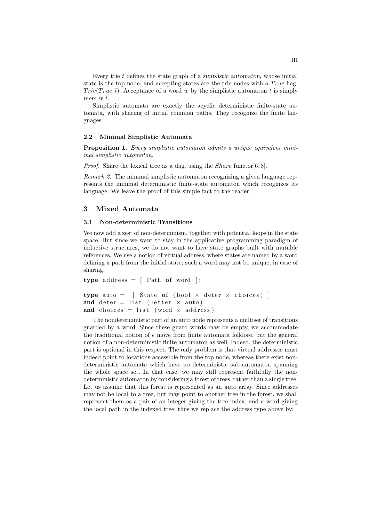Every trie  $t$  defines the state graph of a simplistic automaton, whose initial state is the top node, and accepting states are the trie nodes with a  $True$  flag:  $Trie(True, l)$ . Acceptance of a word w by the simplistic automaton t is simply mem w t.

Simplistic automata are exactly the acyclic deterministic finite-state automata, with sharing of initial common paths. They recognize the finite languages.

#### 2.2 Minimal Simplistic Automata

Proposition 1. Every simplistic automaton admits a unique equivalent minimal simplistic automaton.

*Proof.* Share the lexical tree as a dag, using the *Share* functor  $[6, 8]$ .

Remark 2. The minimal simplistic automaton recognizing a given language represents the minimal deterministic finite-state automaton which recognizes its language. We leave the proof of this simple fact to the reader.

### 3 Mixed Automata

#### 3.1 Non-deterministic Transitions

We now add a zest of non-determinism, together with potential loops in the state space. But since we want to stay in the applicative programming paradigm of inductive structures, we do not want to have state graphs built with mutable references. We use a notion of virtual address, where states are named by a word defining a path from the initial state; such a word may not be unique, in case of sharing.

```
type address = [ Path of word ];
type auto = \int State of (bool \times deter \times choices) ]
and deter = list (letter \times auto)
and choices = list (word \times address);
```
The nondeterministic part of an auto node represents a multiset of transitions guarded by a word. Since these guard words may be empty, we accommodate the traditional notion of  $\epsilon$  move from finite automata folklore, but the general notion of a non-deterministic finite automaton as well. Indeed, the deterministic part is optional in this respect. The only problem is that virtual addresses must indeed point to locations accessible from the top node, whereas there exist nondeterministic automata which have no deterministic sub-automaton spanning the whole space set. In that case, we may still represent faithfully the nondeterministic automaton by considering a forest of trees, rather than a single tree. Let us assume that this forest is represented as an auto array. Since addresses may not be local to a tree, but may point to another tree in the forest, we shall represent them as a pair of an integer giving the tree index, and a word giving the local path in the indexed tree; thus we replace the address type above by: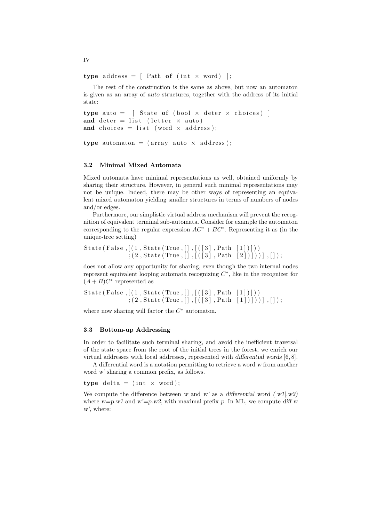type address =  $\left[$  Path of  $(int \times word)$  ;

The rest of the construction is the same as above, but now an automaton is given as an array of auto structures, together with the address of its initial state:

```
type auto = \int State of (bool \times deter \times choices) ]
and deter = list (letter \times auto)
and choices = list (word \times address);
```

```
type automaton = (array \text{ auto} \times address);
```
### 3.2 Minimal Mixed Automata

Mixed automata have minimal representations as well, obtained uniformly by sharing their structure. However, in general such minimal representations may not be unique. Indeed, there may be other ways of representing an equivalent mixed automaton yielding smaller structures in terms of numbers of nodes and/or edges.

Furthermore, our simplistic virtual address mechanism will prevent the recognition of equivalent terminal sub-automata. Consider for example the automaton corresponding to the regular expression  $AC^* + BC^*$ . Representing it as (in the unique-tree setting)

```
State (False, [(1, \text{State}(\text{True}, [] , [([3], \text{Path} [1]])))
                  ; (2, \text{State(True}, [] , [(3], \text{Path } [2]))]) , [] ;
```
does not allow any opportunity for sharing, even though the two internal nodes represent equivalent looping automata recognizing  $C^*$ , like in the recognizer for  $(A + B)C^*$  represented as

```
State (False, [(1, \text{State}(\text{True},[]), [([3], \text{Path} [1])])); (2, \text{State(True},[], [([3], \text{Path} [1]]))], [])
```
where now sharing will factor the  $C^*$  automaton.

#### 3.3 Bottom-up Addressing

In order to facilitate such terminal sharing, and avoid the inefficient traversal of the state space from the root of the initial trees in the forest, we enrich our virtual addresses with local addresses, represented with differential words [6, 8].

A differential word is a notation permitting to retrieve a word w from another word w' sharing a common prefix, as follows.

type delta =  $(int \times word);$ 

We compute the difference between w and w' as a differential word  $(|w1|, w2)$ where  $w=p.w1$  and  $w'=p.w2$ , with maximal prefix p. In ML, we compute diff w w', where:

IV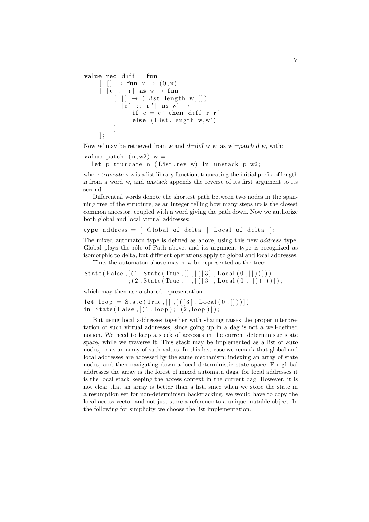```
value rec diff = fun
        [ ] \rightarrow fun x \rightarrow (0, x)\begin{bmatrix} \cdot & \cdot & \cdot & \cdot \\ \cdot & \cdot & \cdot & \cdot \\ \cdot & \cdot & \cdot & \cdot \end{bmatrix} as w \rightarrow fun
                 [ ] \rightarrow (List length w, [])
                 | [ c' :: r'] as w' \rightarrowif c = c' then diff r r
                           else (List.length w, w')]
        ] ;
```
Now w' may be retrieved from w and  $d=diff$  w w' as w'=patch d w, with:

```
value patch (n,w2) w =
  let p=truncate n (List.rev w) in unstack p w2;
```
where truncate  $n \leq x$  is a list library function, truncating the initial prefix of length n from a word w, and unstack appends the reverse of its first argument to its second.

Differential words denote the shortest path between two nodes in the spanning tree of the structure, as an integer telling how many steps up is the closest common ancestor, coupled with a word giving the path down. Now we authorize both global and local virtual addresses:

type address =  $\int$  Global of delta  $\vert$  Local of delta  $\vert$ ;

The mixed automaton type is defined as above, using this new *address* type. Global plays the rôle of Path above, and its argument type is recognized as isomorphic to delta, but different operations apply to global and local addresses. Thus the automaton above may now be represented as the tree:

State (False,  $[(1, \text{State}(\text{True},[]), [([3], \text{Local}(0,[]))]))$ 

 $\{ (2, \text{State}(\text{True}, [], [([3], \text{Local}(0, [])))]) \}$ 

which may then use a shared representation:

```
let loop = State (True, [] , [(1, . Local (0, []))]in State (False, [(1, loop); (2, loop)];
```
But using local addresses together with sharing raises the proper interpretation of such virtual addresses, since going up in a dag is not a well-defined notion. We need to keep a stack of accesses in the current deterministic state space, while we traverse it. This stack may be implemented as a list of *auto* nodes, or as an array of such values. In this last case we remark that global and local addresses are accessed by the same mechanism: indexing an array of state nodes, and then navigating down a local deterministic state space. For global addresses the array is the forest of mixed automata dags, for local addresses it is the local stack keeping the access context in the current dag. However, it is not clear that an array is better than a list, since when we store the state in a resumption set for non-determinism backtracking, we would have to copy the local access vector and not just store a reference to a unique mutable object. In the following for simplicity we choose the list implementation.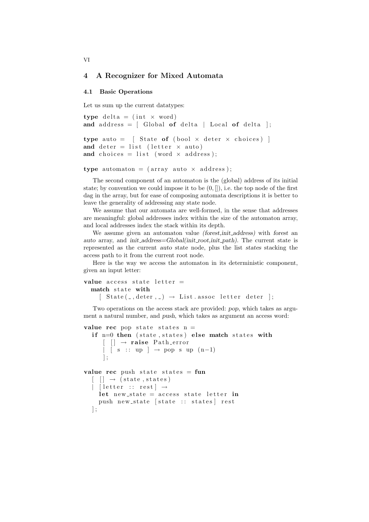### 4 A Recognizer for Mixed Automata

#### 4.1 Basic Operations

Let us sum up the current datatypes:

```
type delta = (int \times word)and address = \begin{bmatrix} Global of delta \end{bmatrix} Local of delta \begin{bmatrix} \cdot & \cdot & \cdot \\ \cdot & \cdot & \cdot \end{bmatrix}type auto = \int State of (bool \times deter \times choices) ]
and deter = list (letter \times auto)
and choices = list (word \times address);
```

```
type automaton = (array auto \times address);
```
The second component of an automaton is the (global) address of its initial state; by convention we could impose it to be  $(0, \|)$ , i.e. the top node of the first dag in the array, but for ease of composing automata descriptions it is better to leave the generality of addressing any state node.

We assume that our automata are well-formed, in the sense that addresses are meaningful: global addresses index within the size of the automaton array, and local addresses index the stack within its depth.

We assume given an automaton value (forest, init\_address) with forest an auto array, and init\_address=Global(init\_root,init\_path). The current state is represented as the current auto state node, plus the list states stacking the access path to it from the current root node.

Here is the way we access the automaton in its deterministic component, given an input letter:

```
value access state letter =match state with
    \lceil State(., deter, .) \rightarrow List. assoc letter deter ];
```
Two operations on the access stack are provided: pop, which takes as argument a natural number, and push, which takes as argument an access word:

```
value rec pop state states n =if n=0 then (state, states) else match states with
      [ ] \rightarrow raise Path-error
      \vert [ s :: up ] \rightarrow pop s up (n-1)
      ] ;
value rec push state states = fun
  [ ] \rightarrow (state, states)
    \lceil letter :: rest \rceil \rightarrowlet new state = access state letter in
    push new state [state :: states] rest
  \vert;
```
VI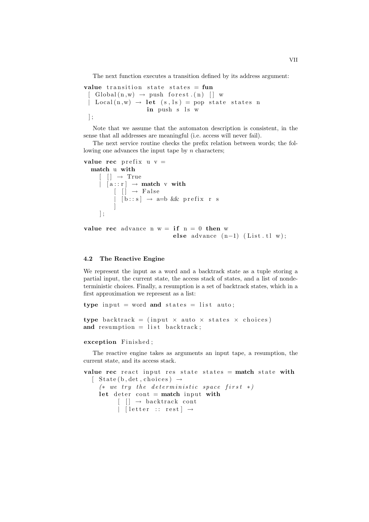The next function executes a transition defined by its address argument:

```
value transition state states = fun
   Global(n, w) \rightarrow push forest.(n) [ ] w
   Local(n, w) \rightarrow let (s, ls) = pop state states nin push s ls w
 ] ;
```
Note that we assume that the automaton description is consistent, in the sense that all addresses are meaningful (i.e. access will never fail).

The next service routine checks the prefix relation between words; the following one advances the input tape by  $n$  characters;

```
value rec prefix u =match u with
                   \lceil \quad \rceil \rightarrow \text{True}| \quad [a : : r] \rightarrow \text{match} \ \text{v} \ \text{with}[ \begin{array}{ccc} \end{array} \begin{array}{ccc} \end{array} \begin{array}{ccc} \end{array} \begin{array}{ccc} \end{array} \begin{array}{ccc} \end{array} \begin{array}{ccc} \end{array} \begin{array}{ccc} \end{array} \begin{array}{ccc} \end{array} \begin{array}{ccc} \end{array} \begin{array}{ccc} \end{array} \begin{array}{ccc} \end{array}| [ b :: s] \rightarrow a=b && prefix r s
                                       ]
                  ] ;
```

```
value rec advance n w = if n = 0 then welse advance (n-1) (List.tl w);
```
#### 4.2 The Reactive Engine

We represent the input as a word and a backtrack state as a tuple storing a partial input, the current state, the access stack of states, and a list of nondeterministic choices. Finally, a resumption is a set of backtrack states, which in a first approximation we represent as a list:

type input = word and states = list auto;

```
type backtrack = (input \times auto \times states \times choices)
and resumption = list backtrack;
```
#### exception Finished;

The reactive engine takes as arguments an input tape, a resumption, the current state, and its access stack.

```
value rec react input res state states = match state with
  \left[ State(b, det, choices) \rightarrow(* we try the deterministic space first *)let deter cont = match input with
           \lceil \rceil \rightarrow backtrack cont
           | [ letter :: rest ] \rightarrow
```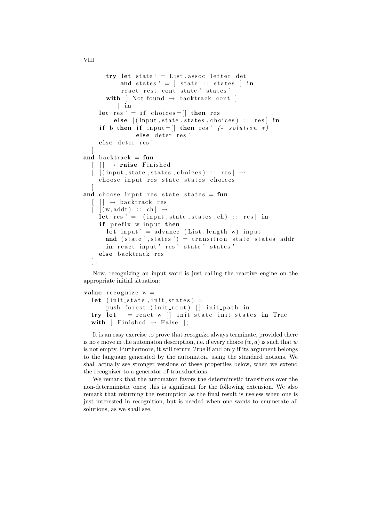```
try let state ' = List. assoc letter det
           and states ' = [ state :: states ] in
           react rest cont state ' states '
       with \lceil Not_found \rightarrow backtrack cont \lceil] in
    let res ' = if choices = \vert then res
         else ((input, state, states, choices) :: res) in
    if b then if input =[] then res' (* solution *)else deter res'
    else deter res'
   ]
and backtrack = fun
  \lceil \ \rceil \rightarrow raise Finished
    [(input, state, states, choices) :: res] \rightarrowchoose input res state states choices
   ]
and choose input res state states = fun
    [ ] \rightarrow backtrack res
    [(w, addr) : : ch] \rightarrowlet res ' = [(input, state, states, ch) :: res] in
    if prefix w input then
       let input' = advance (List.length w) inputand (state ', states ') = transition state states addr
       in react input 'res 'state 'states'
    else backtrack res'
  \vert ;
```
Now, recognizing an input word is just calling the reactive engine on the appropriate initial situation:

```
value recographic w =let (init_state, init_states) =
      push forest. (init_root) [] init_path in
  try let z = react w || init state init states in True
  with [ Finished \rightarrow False ];
```
It is an easy exercise to prove that recognize always terminate, provided there is no  $\epsilon$  move in the automaton description, i.e. if every choice  $(w, a)$  is such that w is not empty. Furthermore, it will return True if and only if its argument belongs to the language generated by the automaton, using the standard notions. We shall actually see stronger versions of these properties below, when we extend the recognizer to a generator of transductions.

We remark that the automaton favors the deterministic transitions over the non-deterministic ones; this is significant for the following extension. We also remark that returning the resumption as the final result is useless when one is just interested in recognition, but is needed when one wants to enumerate all solutions, as we shall see.

VIII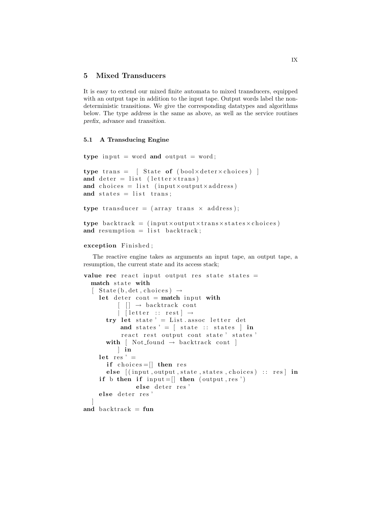## 5 Mixed Transducers

It is easy to extend our mixed finite automata to mixed transducers, equipped with an output tape in addition to the input tape. Output words label the nondeterministic transitions. We give the corresponding datatypes and algorithms below. The type address is the same as above, as well as the service routines prefix, advance and transition.

### 5.1 A Transducing Engine

```
type input = word and output = word;
type trans = [ State of (boolxdeterxchoices) ]
and deter = list (letter\timestrans)
and choices = list (input×output×address)
and states = list trans;
type transducer = (array trans \times address);
type backtrack = (input×output×trans×states×choices)
and resumption = list backtrack;
```
### exception Finished;

The reactive engine takes as arguments an input tape, an output tape, a resumption, the current state and its access stack;

```
value rec react input output res state states =match state with
  \left[ State(b, det, choices) \rightarrowlet deter cont = match input with
            \begin{bmatrix} \end{bmatrix} \rightarrow backtrack cont
           | [ letter :: rest ] \rightarrowtry let state ' = List. assoc letter det
            and states ' = \left[ \right. state :: states \left. \right] in
            react rest output cont state ' states '
       with \lceil Not-found \rightarrow backtrack cont \lceil] in
     let res' =
       if choices = \vert then res
        else [(input, output, state, states, choices) :: res] inif b then if input = [ then (output, res')
                  else deter res'
     else deter res'
   ]
and backtrack = fun
```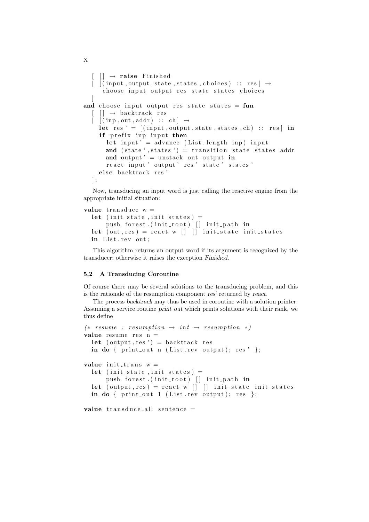```
\lceil \ \ \rceil \rightarrow raise Finished
   \vert [(input, output, state, states, choices) :: res \vert \rightarrowchoose input output res state states choices
   ]
and choose input output res state states = fun
   \lceil \rceil \rightarrow backtrack res
   \begin{bmatrix} \text{[} \text{inp} \text{, out} \text{, addr} \text{] } \text{ } \therefore \text{ } \text{ch} \text{]} \end{bmatrix}let res ' = [(input, output, state, states, ch) :: res] in
      if prefix inp input then
        let input ' = advance (List length inp) input
        and (state ', states ') = transition state states addr
        and output ' = unstack out output in
        react input ' output ' res ' state ' states '
      else backtrack res'
   \vert ;
```
Now, transducing an input word is just calling the reactive engine from the appropriate initial situation:

```
value transduce w =let (init_state, init_states) =
        push forest. (init_root) [] init_path in
  let (out, res) = react w \begin{bmatrix} \end{bmatrix} \begin{bmatrix} \end{bmatrix} init_state init_states
  in List.rev out;
```
This algorithm returns an output word if its argument is recognized by the transducer; otherwise it raises the exception Finished.

### 5.2 A Transducing Coroutine

Of course there may be several solutions to the transducing problem, and this is the rationale of the resumption component res' returned by react.

The process backtrack may thus be used in coroutine with a solution printer. Assuming a service routine *print\_out* which prints solutions with their rank, we thus define

```
(*\; \; resume \; : \; resumption \; \rightarrow \; int \; \rightarrow \; resumption \; * )value resume res n =let ( output, res ') = backtrack res
  in do { print_out n (List.rev output); res' };
value init\_trans w =let (init-state , init-state ) =push forest. (init_root) [] init_path in
  let (output, res) = react w [] [] init_state init_states
  in do { print_out 1 (List.rev output); res };
```
value  $transduce$ -all sentence  $=$ 

```
X
```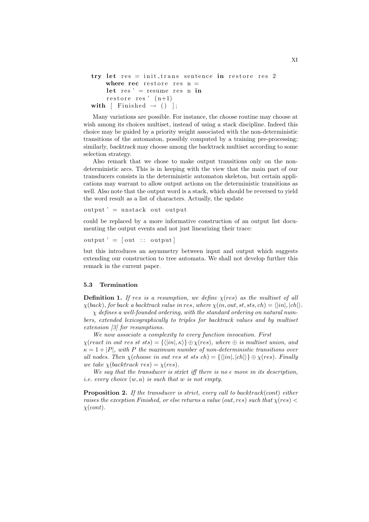```
try let res = init_trans sentence in restore res 2where rec restore res n =let res ' = resume res n in
    restore res<sup>'</sup> (n+1)with [ Finished \rightarrow () ];
```
Many variations are possible. For instance, the choose routine may choose at wish among its choices multiset, instead of using a stack discipline. Indeed this choice may be guided by a priority weight associated with the non-deterministic transitions of the automaton, possibly computed by a training pre-processing; similarly, backtrack may choose among the backtrack multiset according to some selection strategy.

Also remark that we chose to make output transitions only on the nondeterministic arcs. This is in keeping with the view that the main part of our transducers consists in the deterministic automaton skeleton, but certain applications may warrant to allow output actions on the deterministic transitions as well. Also note that the output word is a stack, which should be reversed to yield the word result as a list of characters. Actually, the update

 $output' = unstack out output$ 

could be replaced by a more informative construction of an output list documenting the output events and not just linearizing their trace:

 $output' = [out :: output]$ 

but this introduces an asymmetry between input and output which suggests extending our construction to tree automata. We shall not develop further this remark in the current paper.

#### 5.3 Termination

**Definition 1.** If res is a resumption, we define  $\chi$ (res) as the multiset of all  $\chi(back)$ , for back a backtrack value in res, where  $\chi(in, out, st, sts, ch) = \langle |in|, |ch|\rangle$ .

χ defines a well-founded ordering, with the standard ordering on natural numbers, extended lexicographically to triples for backtrack values and by multiset extension [3] for resumptions.

We now associate a complexity to every function invocation. First χ(react in out res st sts) = {h|in|, κi} ⊕χ(res), where ⊕ is multiset union, and  $\kappa = 1 + |P|$ , with P the maximum number of non-deterministic transitions over all nodes. Then  $\chi$ (choose in out res st sts ch) = { $\langle |in|, |ch| \rangle$ }  $\oplus \chi$ (res). Finally we take  $\chi$ (backtrack res) =  $\chi$ (res).

We say that the transducer is strict iff there is no  $\epsilon$  move in its description, *i.e.* every choice  $(w, a)$  is such that w is not empty.

**Proposition 2.** If the transducer is strict, every call to backtrack(cont) either raises the exception Finished, or else returns a value (out, res) such that  $\chi(res)$  $\chi (cont).$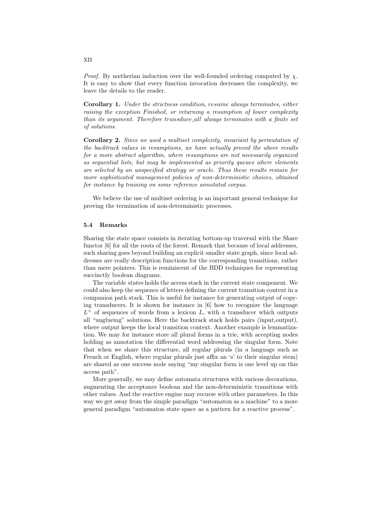*Proof.* By nœtherian induction over the well-founded ordering computed by  $\chi$ . It is easy to show that every function invocation decreases the complexity, we leave the details to the reader.

Corollary 1. Under the strictness condition, resume always terminates, either raising the exception Finished, or returning a resumption of lower complexity than its argument. Therefore transduce all always terminates with a finite set of solutions.

Corollary 2. Since we used a multiset complexity, invariant by permutation of the backtrack values in resumptions, we have actually proved the above results for a more abstract algorithm, where resumptions are not necessarily organized as sequential lists, but may be implemented as priority queues where elements are selected by an unspecified strategy or oracle. Thus these results remain for more sophisticated management policies of non-deterministic choices, obtained for instance by training on some reference annotated corpus.

We believe the use of multiset ordering is an important general technique for proving the termination of non-deterministic processes.

#### 5.4 Remarks

Sharing the state space consists in iterating bottom-up traversal with the Share functor [6] for all the roots of the forest. Remark that because of local addresses, such sharing goes beyond building an explicit smaller state graph, since local addresses are really description functions for the corresponding transitions, rather than mere pointers. This is reminiscent of the BDD techniques for representing succinctly boolean diagrams.

The variable states holds the access stack in the current state component. We could also keep the sequence of letters defining the current transition context in a companion path stack. This is useful for instance for generating output of copying transducers. It is shown for instance in [6] how to recognize the language  $L^+$  of sequences of words from a lexicon L, with a transducer which outputs all "unglueing" solutions. Here the backtrack stack holds pairs (input,output), where *output* keeps the local transition context. Another example is lemmatization. We may for instance store all plural forms in a trie, with accepting nodes holding as annotation the differential word addressing the singular form. Note that when we share this structure, all regular plurals (in a language such as French or English, where regular plurals just affix an 's' to their singular stem) are shared as one success node saying "my singular form is one level up on this access path".

More generally, we may define automata structures with various decorations, augmenting the acceptance boolean and the non-deterministic transitions with other values. And the reactive engine may recurse with other parameters. In this way we get away from the simple paradigm "automaton as a machine" to a more general paradigm "automaton state space as a pattern for a reactive process".

XII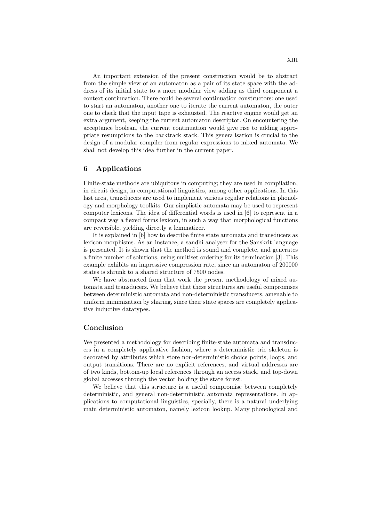An important extension of the present construction would be to abstract from the simple view of an automaton as a pair of its state space with the address of its initial state to a more modular view adding as third component a context continuation. There could be several continuation constructors: one used to start an automaton, another one to iterate the current automaton, the outer one to check that the input tape is exhausted. The reactive engine would get an extra argument, keeping the current automaton descriptor. On encountering the acceptance boolean, the current continuation would give rise to adding appropriate resumptions to the backtrack stack. This generalisation is crucial to the design of a modular compiler from regular expressions to mixed automata. We shall not develop this idea further in the current paper.

### 6 Applications

Finite-state methods are ubiquitous in computing; they are used in compilation, in circuit design, in computational linguistics, among other applications. In this last area, transducers are used to implement various regular relations in phonology and morphology toolkits. Our simplistic automata may be used to represent computer lexicons. The idea of differential words is used in [6] to represent in a compact way a flexed forms lexicon, in such a way that morphological functions are reversible, yielding directly a lemmatizer.

It is explained in [6] how to describe finite state automata and transducers as lexicon morphisms. As an instance, a sandhi analyser for the Sanskrit language is presented. It is shown that the method is sound and complete, and generates a finite number of solutions, using multiset ordering for its termination [3]. This example exhibits an impressive compression rate, since an automaton of 200000 states is shrunk to a shared structure of 7500 nodes.

We have abstracted from that work the present methodology of mixed automata and transducers. We believe that these structures are useful compromises between deterministic automata and non-deterministic transducers, amenable to uniform minimization by sharing, since their state spaces are completely applicative inductive datatypes.

### Conclusion

We presented a methodology for describing finite-state automata and transducers in a completely applicative fashion, where a deterministic trie skeleton is decorated by attributes which store non-deterministic choice points, loops, and output transitions. There are no explicit references, and virtual addresses are of two kinds, bottom-up local references through an access stack, and top-down global accesses through the vector holding the state forest.

We believe that this structure is a useful compromise between completely deterministic, and general non-deterministic automata representations. In applications to computational linguistics, specially, there is a natural underlying main deterministic automaton, namely lexicon lookup. Many phonological and